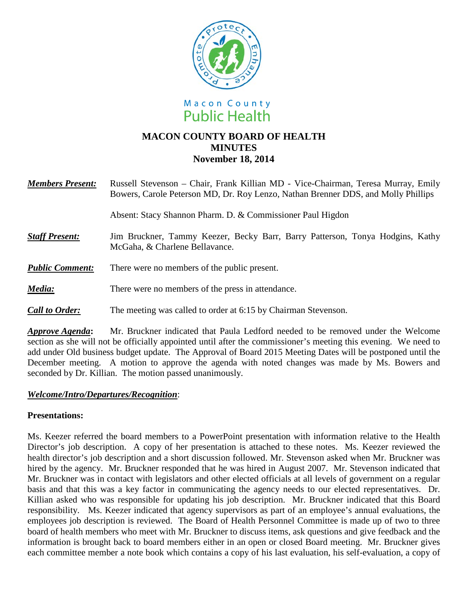



# **MACON COUNTY BOARD OF HEALTH MINUTES November 18, 2014**

| <b>Members Present:</b> | Russell Stevenson – Chair, Frank Killian MD - Vice-Chairman, Teresa Murray, Emily<br>Bowers, Carole Peterson MD, Dr. Roy Lenzo, Nathan Brenner DDS, and Molly Phillips |
|-------------------------|------------------------------------------------------------------------------------------------------------------------------------------------------------------------|
|                         | Absent: Stacy Shannon Pharm. D. & Commissioner Paul Higdon                                                                                                             |
| <b>Staff Present:</b>   | Jim Bruckner, Tammy Keezer, Becky Barr, Barry Patterson, Tonya Hodgins, Kathy<br>McGaha, & Charlene Bellavance.                                                        |
| <b>Public Comment:</b>  | There were no members of the public present.                                                                                                                           |
| Media:                  | There were no members of the press in attendance.                                                                                                                      |
| <b>Call to Order:</b>   | The meeting was called to order at 6:15 by Chairman Stevenson.                                                                                                         |

*Approve Agenda***:** Mr. Bruckner indicated that Paula Ledford needed to be removed under the Welcome section as she will not be officially appointed until after the commissioner's meeting this evening. We need to add under Old business budget update. The Approval of Board 2015 Meeting Dates will be postponed until the December meeting. A motion to approve the agenda with noted changes was made by Ms. Bowers and seconded by Dr. Killian. The motion passed unanimously.

#### *Welcome/Intro/Departures/Recognition*:

## **Presentations:**

Ms. Keezer referred the board members to a PowerPoint presentation with information relative to the Health Director's job description. A copy of her presentation is attached to these notes. Ms. Keezer reviewed the health director's job description and a short discussion followed. Mr. Stevenson asked when Mr. Bruckner was hired by the agency. Mr. Bruckner responded that he was hired in August 2007. Mr. Stevenson indicated that Mr. Bruckner was in contact with legislators and other elected officials at all levels of government on a regular basis and that this was a key factor in communicating the agency needs to our elected representatives. Dr. Killian asked who was responsible for updating his job description. Mr. Bruckner indicated that this Board responsibility. Ms. Keezer indicated that agency supervisors as part of an employee's annual evaluations, the employees job description is reviewed. The Board of Health Personnel Committee is made up of two to three board of health members who meet with Mr. Bruckner to discuss items, ask questions and give feedback and the information is brought back to board members either in an open or closed Board meeting. Mr. Bruckner gives each committee member a note book which contains a copy of his last evaluation, his self-evaluation, a copy of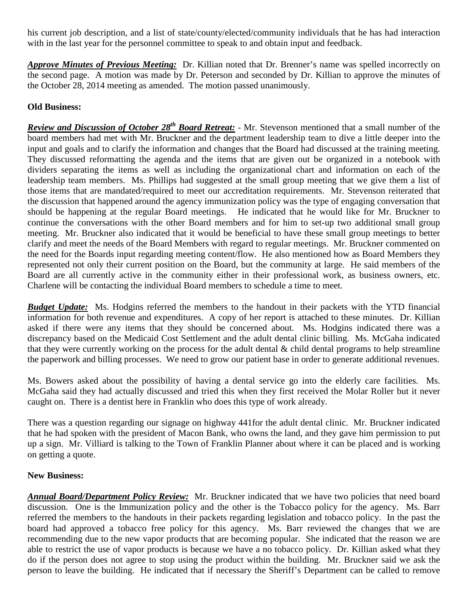his current job description, and a list of state/county/elected/community individuals that he has had interaction with in the last year for the personnel committee to speak to and obtain input and feedback.

*Approve Minutes of Previous Meeting:* Dr. Killian noted that Dr. Brenner's name was spelled incorrectly on the second page. A motion was made by Dr. Peterson and seconded by Dr. Killian to approve the minutes of the October 28, 2014 meeting as amended. The motion passed unanimously.

# **Old Business:**

*Review and Discussion of October 28th Board Retreat:* - Mr. Stevenson mentioned that a small number of the board members had met with Mr. Bruckner and the department leadership team to dive a little deeper into the input and goals and to clarify the information and changes that the Board had discussed at the training meeting. They discussed reformatting the agenda and the items that are given out be organized in a notebook with dividers separating the items as well as including the organizational chart and information on each of the leadership team members. Ms. Phillips had suggested at the small group meeting that we give them a list of those items that are mandated/required to meet our accreditation requirements. Mr. Stevenson reiterated that the discussion that happened around the agency immunization policy was the type of engaging conversation that should be happening at the regular Board meetings. He indicated that he would like for Mr. Bruckner to continue the conversations with the other Board members and for him to set-up two additional small group meeting. Mr. Bruckner also indicated that it would be beneficial to have these small group meetings to better clarify and meet the needs of the Board Members with regard to regular meetings. Mr. Bruckner commented on the need for the Boards input regarding meeting content/flow. He also mentioned how as Board Members they represented not only their current position on the Board, but the community at large. He said members of the Board are all currently active in the community either in their professional work, as business owners, etc. Charlene will be contacting the individual Board members to schedule a time to meet.

*Budget Update:* Ms. Hodgins referred the members to the handout in their packets with the YTD financial information for both revenue and expenditures. A copy of her report is attached to these minutes. Dr. Killian asked if there were any items that they should be concerned about. Ms. Hodgins indicated there was a discrepancy based on the Medicaid Cost Settlement and the adult dental clinic billing. Ms. McGaha indicated that they were currently working on the process for the adult dental  $\&$  child dental programs to help streamline the paperwork and billing processes. We need to grow our patient base in order to generate additional revenues.

Ms. Bowers asked about the possibility of having a dental service go into the elderly care facilities. Ms. McGaha said they had actually discussed and tried this when they first received the Molar Roller but it never caught on. There is a dentist here in Franklin who does this type of work already.

There was a question regarding our signage on highway 441for the adult dental clinic. Mr. Bruckner indicated that he had spoken with the president of Macon Bank, who owns the land, and they gave him permission to put up a sign. Mr. Villiard is talking to the Town of Franklin Planner about where it can be placed and is working on getting a quote.

## **New Business:**

*Annual Board/Department Policy Review:* Mr. Bruckner indicated that we have two policies that need board discussion. One is the Immunization policy and the other is the Tobacco policy for the agency. Ms. Barr referred the members to the handouts in their packets regarding legislation and tobacco policy. In the past the board had approved a tobacco free policy for this agency. Ms. Barr reviewed the changes that we are recommending due to the new vapor products that are becoming popular. She indicated that the reason we are able to restrict the use of vapor products is because we have a no tobacco policy. Dr. Killian asked what they do if the person does not agree to stop using the product within the building. Mr. Bruckner said we ask the person to leave the building. He indicated that if necessary the Sheriff's Department can be called to remove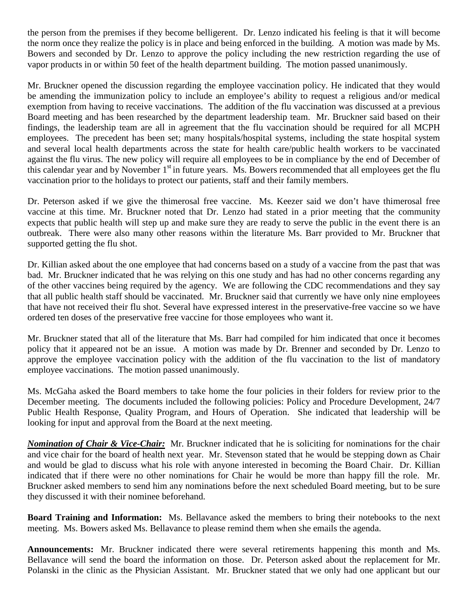the person from the premises if they become belligerent. Dr. Lenzo indicated his feeling is that it will become the norm once they realize the policy is in place and being enforced in the building. A motion was made by Ms. Bowers and seconded by Dr. Lenzo to approve the policy including the new restriction regarding the use of vapor products in or within 50 feet of the health department building. The motion passed unanimously.

Mr. Bruckner opened the discussion regarding the employee vaccination policy. He indicated that they would be amending the immunization policy to include an employee's ability to request a religious and/or medical exemption from having to receive vaccinations. The addition of the flu vaccination was discussed at a previous Board meeting and has been researched by the department leadership team. Mr. Bruckner said based on their findings, the leadership team are all in agreement that the flu vaccination should be required for all MCPH employees. The precedent has been set; many hospitals/hospital systems, including the state hospital system and several local health departments across the state for health care/public health workers to be vaccinated against the flu virus. The new policy will require all employees to be in compliance by the end of December of this calendar year and by November 1<sup>st</sup> in future years. Ms. Bowers recommended that all employees get the flu vaccination prior to the holidays to protect our patients, staff and their family members.

Dr. Peterson asked if we give the thimerosal free vaccine. Ms. Keezer said we don't have thimerosal free vaccine at this time. Mr. Bruckner noted that Dr. Lenzo had stated in a prior meeting that the community expects that public health will step up and make sure they are ready to serve the public in the event there is an outbreak. There were also many other reasons within the literature Ms. Barr provided to Mr. Bruckner that supported getting the flu shot.

Dr. Killian asked about the one employee that had concerns based on a study of a vaccine from the past that was bad. Mr. Bruckner indicated that he was relying on this one study and has had no other concerns regarding any of the other vaccines being required by the agency. We are following the CDC recommendations and they say that all public health staff should be vaccinated. Mr. Bruckner said that currently we have only nine employees that have not received their flu shot. Several have expressed interest in the preservative-free vaccine so we have ordered ten doses of the preservative free vaccine for those employees who want it.

Mr. Bruckner stated that all of the literature that Ms. Barr had compiled for him indicated that once it becomes policy that it appeared not be an issue. A motion was made by Dr. Brenner and seconded by Dr. Lenzo to approve the employee vaccination policy with the addition of the flu vaccination to the list of mandatory employee vaccinations. The motion passed unanimously.

Ms. McGaha asked the Board members to take home the four policies in their folders for review prior to the December meeting. The documents included the following policies: Policy and Procedure Development, 24/7 Public Health Response, Quality Program, and Hours of Operation. She indicated that leadership will be looking for input and approval from the Board at the next meeting.

*Nomination of Chair & Vice-Chair:* Mr. Bruckner indicated that he is soliciting for nominations for the chair and vice chair for the board of health next year. Mr. Stevenson stated that he would be stepping down as Chair and would be glad to discuss what his role with anyone interested in becoming the Board Chair. Dr. Killian indicated that if there were no other nominations for Chair he would be more than happy fill the role. Mr. Bruckner asked members to send him any nominations before the next scheduled Board meeting, but to be sure they discussed it with their nominee beforehand.

**Board Training and Information:** Ms. Bellavance asked the members to bring their notebooks to the next meeting. Ms. Bowers asked Ms. Bellavance to please remind them when she emails the agenda.

**Announcements:** Mr. Bruckner indicated there were several retirements happening this month and Ms. Bellavance will send the board the information on those. Dr. Peterson asked about the replacement for Mr. Polanski in the clinic as the Physician Assistant. Mr. Bruckner stated that we only had one applicant but our